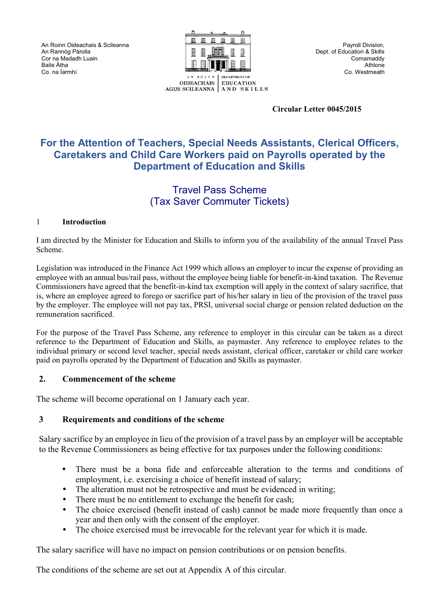An Roinn Oideachais & Scileanna An Rannόg Párolla Cor na Madadh Luain Baile Átha Co. na Íarmhí



**Circular Letter 0045/2015**

### **For the Attention of Teachers, Special Needs Assistants, Clerical Officers, Caretakers and Child Care Workers paid on Payrolls operated by the Department of Education and Skills** Post-Primary Branch

#### Travel Pass Scheme (Tax Saver Commuter Tickets)  $\frac{1}{2}$

### 1 **Introduction**

I am directed by the Minister for Education and Skills to inform you of the availability of the annual Travel Pass Scheme.

Legislation was introduced in the Finance Act 1999 which allows an employer to incur the expense of providing an employee with an annual bus/rail pass, without the employee being liable for benefit-in-kind taxation. The Revenue Commissioners have agreed that the benefit-in-kind tax exemption will apply in the context of salary sacrifice, that is, where an employee agreed to forego or sacrifice part of his/her salary in lieu of the provision of the travel pass by the employer. The employee will not pay tax, PRSI, universal social charge or pension related deduction on the remuneration sacrificed.

For the purpose of the Travel Pass Scheme, any reference to employer in this circular can be taken as a direct reference to the Department of Education and Skills, as paymaster. Any reference to employee relates to the individual primary or second level teacher, special needs assistant, clerical officer, caretaker or child care worker paid on payrolls operated by the Department of Education and Skills as paymaster.

### **2. Commencement of the scheme**

The scheme will become operational on 1 January each year.

### **3 Requirements and conditions of the scheme**

Salary sacrifice by an employee in lieu of the provision of a travel pass by an employer will be acceptable to the Revenue Commissioners as being effective for tax purposes under the following conditions:

- There must be a bona fide and enforceable alteration to the terms and conditions of employment, i.e. exercising a choice of benefit instead of salary;
- The alteration must not be retrospective and must be evidenced in writing;
- There must be no entitlement to exchange the benefit for cash;
- The choice exercised (benefit instead of cash) cannot be made more frequently than once a year and then only with the consent of the employer.
- The choice exercised must be irrevocable for the relevant year for which it is made.

The salary sacrifice will have no impact on pension contributions or on pension benefits.

The conditions of the scheme are set out at Appendix A of this circular.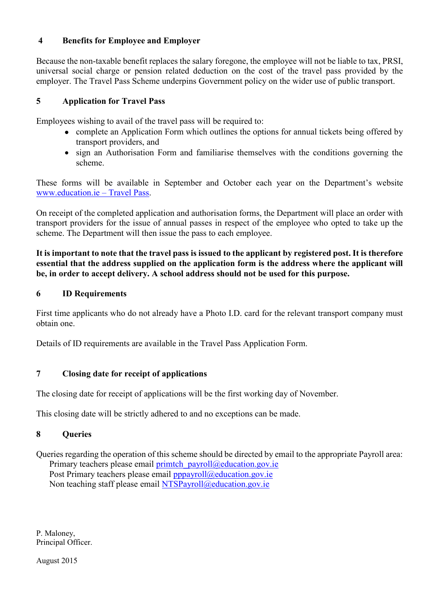# **4 Benefits for Employee and Employer**

Because the non-taxable benefit replaces the salary foregone, the employee will not be liable to tax, PRSI, universal social charge or pension related deduction on the cost of the travel pass provided by the employer. The Travel Pass Scheme underpins Government policy on the wider use of public transport.

### **5 Application for Travel Pass**

Employees wishing to avail of the travel pass will be required to:

- complete an Application Form which outlines the options for annual tickets being offered by transport providers, and
- sign an Authorisation Form and familiarise themselves with the conditions governing the scheme.

These forms will be available in September and October each year on the Department's website www.education.ie – Travel Pass.

On receipt of the completed application and authorisation forms, the Department will place an order with transport providers for the issue of annual passes in respect of the employee who opted to take up the scheme. The Department will then issue the pass to each employee.

**It is important to note that the travel pass is issued to the applicant by registered post. It is therefore essential that the address supplied on the application form is the address where the applicant will be, in order to accept delivery. A school address should not be used for this purpose.**

### **6 ID Requirements**

First time applicants who do not already have a Photo I.D. card for the relevant transport company must obtain one.

Details of ID requirements are available in the Travel Pass Application Form.

### **7 Closing date for receipt of applications**

The closing date for receipt of applications will be the first working day of November.

This closing date will be strictly adhered to and no exceptions can be made.

# **8 Queries**

Queries regarding the operation of this scheme should be directed by email to the appropriate Payroll area: Primary teachers please email  $\frac{prim \text{tch}}{p \text{ a} \text{ yroll}}$  @education.gov.ie Post Primary teachers please email [pppayroll@education.gov.ie](mailto:pppayroll@education.gov.ie) Non teaching staff please email [NTSPayroll@education.gov.ie](mailto:NTSPayroll@education.gov.ie)

P. Maloney, Principal Officer.

August 2015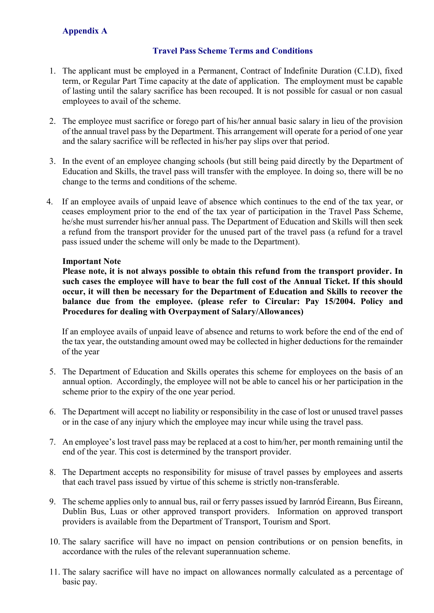# **Appendix A**

# **Travel Pass Scheme Terms and Conditions**

- 1. The applicant must be employed in a Permanent, Contract of Indefinite Duration (C.I.D), fixed term, or Regular Part Time capacity at the date of application. The employment must be capable of lasting until the salary sacrifice has been recouped. It is not possible for casual or non casual employees to avail of the scheme.
- 2. The employee must sacrifice or forego part of his/her annual basic salary in lieu of the provision of the annual travel pass by the Department. This arrangement will operate for a period of one year and the salary sacrifice will be reflected in his/her pay slips over that period.
- 3. In the event of an employee changing schools (but still being paid directly by the Department of Education and Skills, the travel pass will transfer with the employee. In doing so, there will be no change to the terms and conditions of the scheme.
- 4. If an employee avails of unpaid leave of absence which continues to the end of the tax year, or ceases employment prior to the end of the tax year of participation in the Travel Pass Scheme, he/she must surrender his/her annual pass. The Department of Education and Skills will then seek a refund from the transport provider for the unused part of the travel pass (a refund for a travel pass issued under the scheme will only be made to the Department).

### **Important Note**

**Please note, it is not always possible to obtain this refund from the transport provider. In such cases the employee will have to bear the full cost of the Annual Ticket. If this should occur, it will then be necessary for the Department of Education and Skills to recover the balance due from the employee. (please refer to Circular: Pay 15/2004. Policy and Procedures for dealing with Overpayment of Salary/Allowances)**

If an employee avails of unpaid leave of absence and returns to work before the end of the end of the tax year, the outstanding amount owed may be collected in higher deductions for the remainder of the year

- 5. The Department of Education and Skills operates this scheme for employees on the basis of an annual option. Accordingly, the employee will not be able to cancel his or her participation in the scheme prior to the expiry of the one year period.
- 6. The Department will accept no liability or responsibility in the case of lost or unused travel passes or in the case of any injury which the employee may incur while using the travel pass.
- 7. An employee's lost travel pass may be replaced at a cost to him/her, per month remaining until the end of the year. This cost is determined by the transport provider.
- 8. The Department accepts no responsibility for misuse of travel passes by employees and asserts that each travel pass issued by virtue of this scheme is strictly non-transferable.
- 9. The scheme applies only to annual bus, rail or ferry passes issued by Iarnród Ēireann, Bus Ēireann, Dublin Bus, Luas or other approved transport providers. Information on approved transport providers is available from the Department of Transport, Tourism and Sport.
- 10. The salary sacrifice will have no impact on pension contributions or on pension benefits, in accordance with the rules of the relevant superannuation scheme.
- 11. The salary sacrifice will have no impact on allowances normally calculated as a percentage of basic pay.